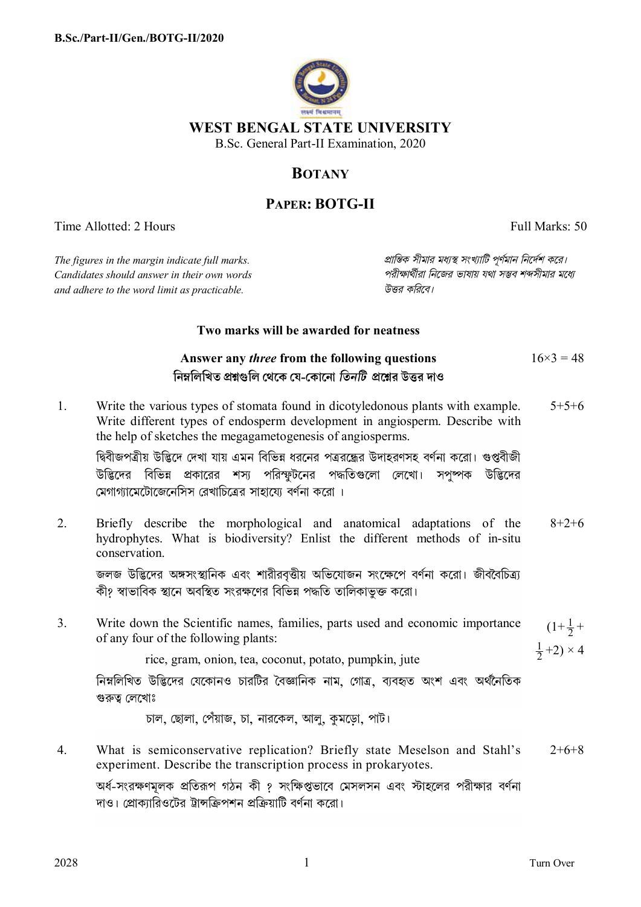

# **BOTANY**

# **PAPER: BOTG-II**

Time Allotted: 2 Hours

Full Marks: 50

The figures in the margin indicate full marks. Candidates should answer in their own words and adhere to the word limit as practicable.

প্রান্তিক সীমার মধ্যস্থ সংখ্যাটি পর্ণমান নির্দেশ করে। পরীক্ষার্থীরা নিজের ভাষায় যথা সম্ভব শব্দসীমার মধ্যে টিত্ত্ব কবিবে।

## Two marks will be awarded for neatness

#### Answer any *three* from the following questions  $16\times3=48$ নিম্নলিখিত প্ৰশ্নগুলি থেকে যে-কোনো *তিনটি প্ৰশ্নে*ৱ উত্তৰ দাও

Write the various types of stomata found in dicotyledonous plants with example.  $5+5+6$  $\mathbf{1}$ Write different types of endosperm development in angiosperm. Describe with the help of sketches the megagametogenesis of angiosperms.

দ্বিবীজপত্রীয় উদ্ভিদে দেখা যায় এমন বিভিন্ন ধরনের পত্রব্রদ্ধের উদাহরণসহ বর্ণনা করো। গুপ্তবীজী উদ্ভিদের বিভিন্ন প্রকারের শস্য পরিস্ফুটনের পদ্ধতিগুলো লেখো। সপুষ্পক উদ্ভিদের মেগাগামেটোজেনেসিস রেখাচিত্রের সাহায়ো বর্ণনা করো ।

 $2<sub>1</sub>$ Briefly describe the morphological and anatomical adaptations of the  $8 + 2 + 6$ hydrophytes. What is biodiversity? Enlist the different methods of in-situ conservation

জলজ উদ্ভিদের অঙ্গসংস্থানিক এবং শারীরবৃত্তীয় অভিযোজন সংক্ষেপে বর্ণনা করো। জীববৈচিত্র্য কী? স্বাভাবিক স্থানে অবস্থিত সংরক্ষণের বিভিন্ন পদ্ধতি তালিকাভক্ত করো।

Write down the Scientific names, families, parts used and economic importance  $\mathcal{E}$  $(1+\frac{1}{2})$ of any four of the following plants:  $\frac{1}{2}+2) \times 4$ 

rice, gram, onion, tea, coconut, potato, pumpkin, jute

নিম্নলিখিত উদ্ভিদের যেকোনও চারটির বৈজ্ঞানিক নাম. গোত্র. ব্যবহৃত অংশ এবং অর্থনৈতিক গুরুত্ব লেখোঃ

চাল, ছোলা, পেঁয়াজ, চা, নারকেল, আলু, কুমড়ো, পাট।

What is semiconservative replication? Briefly state Meselson and Stahl's  $\overline{4}$  $2+6+8$ experiment. Describe the transcription process in prokaryotes.

অর্ধ-সংরক্ষণমলক প্রতিরূপ গঠন কী ? সংক্ষিপ্তভাবে মেসলসন এবং স্টাহলের পরীক্ষার বর্ণনা দাও। প্রোকাারিওটের ট্রান্সক্রিপশন প্রক্রিয়াটি বর্ণনা করো।